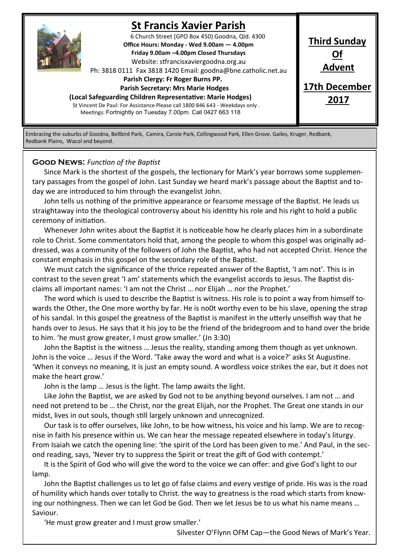

# **St Francis Xavier Parish**

6 Church Street (GPO Box 450) Goodna, Qld. 4300 **Office Hours: Monday - Wed 9.00am — 4.00pm Friday 9.00am –4.00pm Closed Thursdays**  Website: stfrancisxaviergoodna.org.au

Ph: 3818 0111 Fax 3818 1420 Email: goodna@bne.catholic.net.au

 **Parish Clergy: Fr Roger Burns PP.** 

 **Parish Secretary: Mrs Marie Hodges (Local Safeguarding Children Representative: Marie Hodges)**

St Vincent De Paul: For Assistance Please call 1800 846 643 - Weekdays only . Meetings: Fortnightly on Tuesday 7.00pm. Call 0427 663 118

**Third Sunday Of Advent 17th December**

**2017**

Embracing the suburbs of Goodna, Bellbird Park, Camira, Carole Park, Collingwood Park, Ellen Grove. Gailes, Kruger, Redbank, Redbank Plains, Wacol and beyond.

#### **Good News:** *Function of the Baptist*

Since Mark is the shortest of the gospels, the lectionary for Mark's year borrows some supplementary passages from the gospel of John. Last Sunday we heard mark's passage about the Baptist and today we are introduced to him through the evangelist John.

John tells us nothing of the primitive appearance or fearsome message of the Baptist. He leads us straightaway into the theological controversy about his identity his role and his right to hold a public ceremony of initiation.

Whenever John writes about the Baptist it is noticeable how he clearly places him in a subordinate role to Christ. Some commentators hold that, among the people to whom this gospel was originally addressed, was a community of the followers of John the Baptist, who had not accepted Christ. Hence the constant emphasis in this gospel on the secondary role of the Baptist.

We must catch the significance of the thrice repeated answer of the Baptist, 'I am not'. This is in contrast to the seven great 'I am' statements which the evangelist accords to Jesus. The Baptist disclaims all important names: 'I am not the Christ … nor Elijah … nor the Prophet.'

The word which is used to describe the Baptist is witness. His role is to point a way from himself towards the Other, the One more worthy by far. He is no0t worthy even to be his slave, opening the strap of his sandal. In this gospel the greatness of the Baptist is manifest in the utterly unselfish way that he hands over to Jesus. He says that it his joy to be the friend of the bridegroom and to hand over the bride to him. 'he must grow greater, I must grow smaller.' (Jn 3:30)

John the Baptist is the witness … Jesus the reality, standing among them though as yet unknown. John is the voice … Jesus if the Word. 'Take away the word and what is a voice?' asks St Augustine. 'When it conveys no meaning, it is just an empty sound. A wordless voice strikes the ear, but it does not make the heart grow.'

John is the lamp … Jesus is the light. The lamp awaits the light.

Like John the Baptist, we are asked by God not to be anything beyond ourselves. I am not … and need not pretend to be … the Christ, nor the great Elijah, nor the Prophet. The Great one stands in our midst, lives in out souls, though still largely unknown and unrecognized.

Our task is to offer ourselves, like John, to be how witness, his voice and his lamp. We are to recognise in faith his presence within us. We can hear the message repeated elsewhere in today's liturgy. From Isaiah we catch the opening line: 'the spirit of the Lord has been given to me.' And Paul, in the second reading, says, 'Never try to suppress the Spirit or treat the gift of God with contempt.'

It is the Spirit of God who will give the word to the voice we can offer: and give God's light to our lamp.

John the Baptist challenges us to let go of false claims and every vestige of pride. His was is the road of humility which hands over totally to Christ. the way to greatness is the road which starts from knowing our nothingness. Then we can let God be God. Then we let Jesus be to us what his name means … Saviour.

'He must grow greater and I must grow smaller.'

Silvester O'Flynn OFM Cap—the Good News of Mark's Year.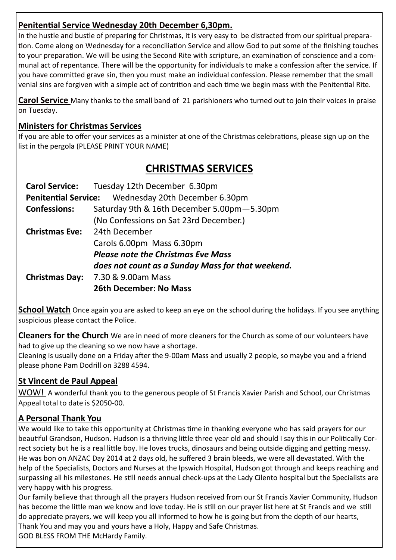# **Penitential Service Wednesday 20th December 6,30pm.**

In the hustle and bustle of preparing for Christmas, it is very easy to be distracted from our spiritual preparation. Come along on Wednesday for a reconciliation Service and allow God to put some of the finishing touches to your preparation. We will be using the Second Rite with scripture, an examination of conscience and a communal act of repentance. There will be the opportunity for individuals to make a confession after the service. If you have committed grave sin, then you must make an individual confession. Please remember that the small venial sins are forgiven with a simple act of contrition and each time we begin mass with the Penitential Rite.

**Carol Service** Many thanks to the small band of 21 parishioners who turned out to join their voices in praise on Tuesday.

### **Ministers for Christmas Services**

If you are able to offer your services as a minister at one of the Christmas celebrations, please sign up on the list in the pergola (PLEASE PRINT YOUR NAME)

# **CHRISTMAS SERVICES**

|                       | Carol Service: Tuesday 12th December 6.30pm         |  |  |
|-----------------------|-----------------------------------------------------|--|--|
|                       | Penitential Service: Wednesday 20th December 6.30pm |  |  |
| <b>Confessions:</b>   | Saturday 9th & 16th December 5.00pm-5.30pm          |  |  |
|                       | (No Confessions on Sat 23rd December.)              |  |  |
| <b>Christmas Eve:</b> | 24th December                                       |  |  |
|                       | Carols 6.00pm Mass 6.30pm                           |  |  |
|                       | <b>Please note the Christmas Eve Mass</b>           |  |  |
|                       | does not count as a Sunday Mass for that weekend.   |  |  |
| <b>Christmas Day:</b> | 7.30 & 9.00am Mass                                  |  |  |
|                       | <b>26th December: No Mass</b>                       |  |  |

**School Watch** Once again you are asked to keep an eye on the school during the holidays. If you see anything suspicious please contact the Police.

**Cleaners for the Church** We are in need of more cleaners for the Church as some of our volunteers have had to give up the cleaning so we now have a shortage.

Cleaning is usually done on a Friday after the 9-00am Mass and usually 2 people, so maybe you and a friend please phone Pam Dodrill on 3288 4594.

# **St Vincent de Paul Appeal**

WOW! A wonderful thank you to the generous people of St Francis Xavier Parish and School, our Christmas Appeal total to date is \$2050-00.

# **A Personal Thank You**

We would like to take this opportunity at Christmas time in thanking everyone who has said prayers for our beautiful Grandson, Hudson. Hudson is a thriving little three year old and should I say this in our Politically Correct society but he is a real little boy. He loves trucks, dinosaurs and being outside digging and getting messy. He was bon on ANZAC Day 2014 at 2 days old, he suffered 3 brain bleeds, we were all devastated. With the help of the Specialists, Doctors and Nurses at the Ipswich Hospital, Hudson got through and keeps reaching and surpassing all his milestones. He still needs annual check-ups at the Lady Cilento hospital but the Specialists are very happy with his progress.

Our family believe that through all the prayers Hudson received from our St Francis Xavier Community, Hudson has become the little man we know and love today. He is still on our prayer list here at St Francis and we still do appreciate prayers, we will keep you all informed to how he is going but from the depth of our hearts, Thank You and may you and yours have a Holy, Happy and Safe Christmas.

GOD BLESS FROM THE McHardy Family.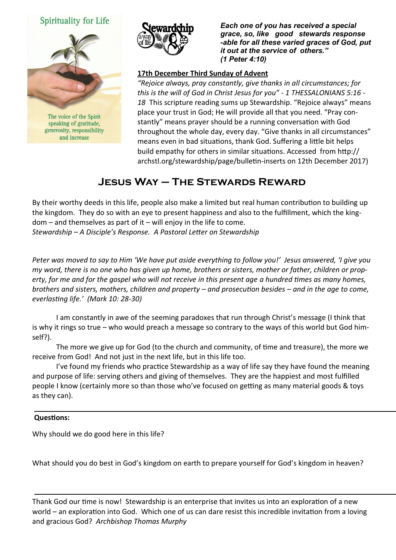#### **Spirituality for Life**



speaking of gratitude, generosity, responsibility and increase



*Each one of you has received a special grace, so, like good stewards response -able for all these varied graces of God, put it out at the service of others." (1 Peter 4:10)* 

#### **17th December Third Sunday of Advent**

*"Rejoice always, pray constantly, give thanks in all circumstances; for this is the will of God in Christ Jesus for you" - 1 THESSALONIANS 5:16 - 18* This scripture reading sums up Stewardship. "Rejoice always" means place your trust in God; He will provide all that you need. "Pray constantly" means prayer should be a running conversation with God throughout the whole day, every day. "Give thanks in all circumstances" means even in bad situations, thank God. Suffering a little bit helps build empathy for others in similar situations. Accessed from http:// archstl.org/stewardship/page/bulletin-inserts on 12th December 2017)

# **Jesus Way – The Stewards Reward**

By their worthy deeds in this life, people also make a limited but real human contribution to building up the kingdom. They do so with an eye to present happiness and also to the fulfillment, which the kingdom – and themselves as part of it – will enjoy in the life to come. *Stewardship – A Disciple's Response. A Pastoral Letter on Stewardship*

*Peter was moved to say to Him 'We have put aside everything to follow you!' Jesus answered, 'I give you my word, there is no one who has given up home, brothers or sisters, mother or father, children or property, for me and for the gospel who will not receive in this present age a hundred times as many homes, brothers and sisters, mothers, children and property – and prosecution besides – and in the age to come, everlasting life.' (Mark 10: 28-30)*

I am constantly in awe of the seeming paradoxes that run through Christ's message (I think that is why it rings so true – who would preach a message so contrary to the ways of this world but God himself?).

The more we give up for God (to the church and community, of time and treasure), the more we receive from God! And not just in the next life, but in this life too.

I've found my friends who practice Stewardship as a way of life say they have found the meaning and purpose of life: serving others and giving of themselves. They are the happiest and most fulfilled people I know (certainly more so than those who've focused on getting as many material goods & toys as they can).

#### **Questions:**

Why should we do good here in this life?

What should you do best in God's kingdom on earth to prepare yourself for God's kingdom in heaven?

Thank God our time is now! Stewardship is an enterprise that invites us into an exploration of a new world – an exploration into God. Which one of us can dare resist this incredible invitation from a loving and gracious God? *Archbishop Thomas Murphy*